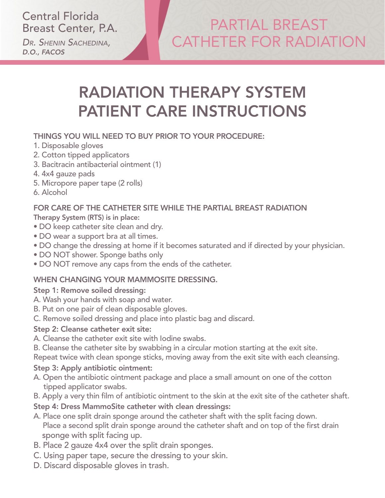Central Florida Breast Center, P.A.

*Dr. Shenin Sachedina, D.O., FACOS*

# PARTIAL BREAST CATHETER FOR RADIATION

# RADIATION THERAPY SYSTEM PATIENT CARE INSTRUCTIONS

#### THINGS YOU WILL NEED TO BUY PRIOR TO YOUR PROCEDURE:

- 1. Disposable gloves
- 2. Cotton tipped applicators
- 3. Bacitracin antibacterial ointment (1)
- 4. 4x4 gauze pads
- 5. Micropore paper tape (2 rolls)
- 6. Alcohol

### FOR CARE OF THE CATHETER SITE WHILE THE PARTIAL BREAST RADIATION

Therapy System (RTS) is in place:

- DO keep catheter site clean and dry.
- DO wear a support bra at all times.
- DO change the dressing at home if it becomes saturated and if directed by your physician.
- DO NOT shower. Sponge baths only
- DO NOT remove any caps from the ends of the catheter.

#### WHEN CHANGING YOUR MAMMOSITE DRESSING.

#### Step 1: Remove soiled dressing:

- A. Wash your hands with soap and water.
- B. Put on one pair of clean disposable gloves.
- C. Remove soiled dressing and place into plastic bag and discard.

#### Step 2: Cleanse catheter exit site:

- A. Cleanse the catheter exit site with Iodine swabs.
- B. Cleanse the catheter site by swabbing in a circular motion starting at the exit site.

Repeat twice with clean sponge sticks, moving away from the exit site with each cleansing.

#### Step 3: Apply antibiotic ointment:

- A. Open the antibiotic ointment package and place a small amount on one of the cotton tipped applicator swabs.
- B. Apply a very thin film of antibiotic ointment to the skin at the exit site of the catheter shaft.

#### Step 4: Dress MammoSite catheter with clean dressings:

- A. Place one split drain sponge around the catheter shaft with the split facing down. Place a second split drain sponge around the catheter shaft and on top of the first drain sponge with split facing up.
- B. Place 2 gauze 4x4 over the split drain sponges.
- C. Using paper tape, secure the dressing to your skin.
- D. Discard disposable gloves in trash.